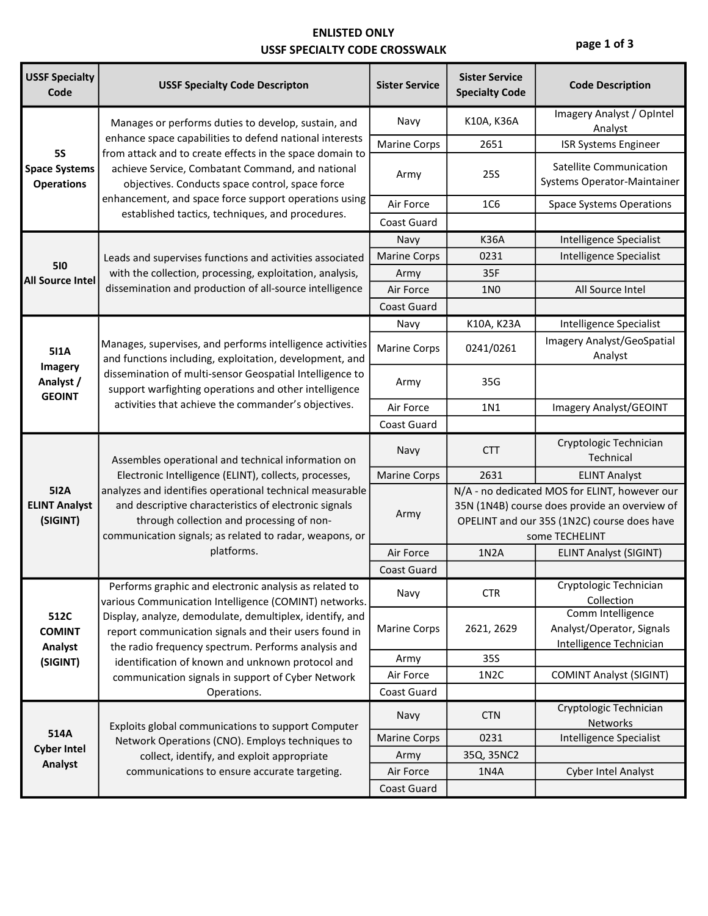### ENLISTED **ONLY** USSF SPECIALTY CODE CROSSWALK

**page 1 of 3**

| <b>USSF Specialty</b><br>Code                          | <b>USSF Specialty Code Descripton</b>                                                                                                                                                                                                                                                                                                                                                                | <b>Sister Service</b> | <b>Sister Service</b><br><b>Specialty Code</b>                                                                                                                  | <b>Code Description</b>                                                   |
|--------------------------------------------------------|------------------------------------------------------------------------------------------------------------------------------------------------------------------------------------------------------------------------------------------------------------------------------------------------------------------------------------------------------------------------------------------------------|-----------------------|-----------------------------------------------------------------------------------------------------------------------------------------------------------------|---------------------------------------------------------------------------|
| <b>5S</b><br><b>Space Systems</b><br><b>Operations</b> | Manages or performs duties to develop, sustain, and<br>enhance space capabilities to defend national interests<br>from attack and to create effects in the space domain to<br>achieve Service, Combatant Command, and national<br>objectives. Conducts space control, space force<br>enhancement, and space force support operations using<br>established tactics, techniques, and procedures.       | Navy                  | K10A, K36A                                                                                                                                                      | Imagery Analyst / OpIntel<br>Analyst                                      |
|                                                        |                                                                                                                                                                                                                                                                                                                                                                                                      | <b>Marine Corps</b>   | 2651                                                                                                                                                            | <b>ISR Systems Engineer</b>                                               |
|                                                        |                                                                                                                                                                                                                                                                                                                                                                                                      | Army                  | 25S                                                                                                                                                             | <b>Satellite Communication</b><br>Systems Operator-Maintainer             |
|                                                        |                                                                                                                                                                                                                                                                                                                                                                                                      | Air Force             | <b>1C6</b>                                                                                                                                                      | <b>Space Systems Operations</b>                                           |
|                                                        |                                                                                                                                                                                                                                                                                                                                                                                                      | <b>Coast Guard</b>    |                                                                                                                                                                 |                                                                           |
|                                                        |                                                                                                                                                                                                                                                                                                                                                                                                      | Navy                  | <b>K36A</b>                                                                                                                                                     | Intelligence Specialist                                                   |
| 510                                                    | Leads and supervises functions and activities associated                                                                                                                                                                                                                                                                                                                                             | <b>Marine Corps</b>   | 0231                                                                                                                                                            | Intelligence Specialist                                                   |
| <b>All Source Intel</b>                                | with the collection, processing, exploitation, analysis,                                                                                                                                                                                                                                                                                                                                             | Army                  | 35F                                                                                                                                                             |                                                                           |
|                                                        | dissemination and production of all-source intelligence                                                                                                                                                                                                                                                                                                                                              | Air Force             | <b>1N0</b>                                                                                                                                                      | All Source Intel                                                          |
|                                                        |                                                                                                                                                                                                                                                                                                                                                                                                      | <b>Coast Guard</b>    |                                                                                                                                                                 |                                                                           |
|                                                        |                                                                                                                                                                                                                                                                                                                                                                                                      | Navy                  | K10A, K23A                                                                                                                                                      | Intelligence Specialist                                                   |
| <b>511A</b><br>Imagery<br>Analyst /<br><b>GEOINT</b>   | Manages, supervises, and performs intelligence activities<br>and functions including, exploitation, development, and<br>dissemination of multi-sensor Geospatial Intelligence to<br>support warfighting operations and other intelligence<br>activities that achieve the commander's objectives.                                                                                                     | <b>Marine Corps</b>   | 0241/0261                                                                                                                                                       | Imagery Analyst/GeoSpatial<br>Analyst                                     |
|                                                        |                                                                                                                                                                                                                                                                                                                                                                                                      | Army                  | 35G                                                                                                                                                             |                                                                           |
|                                                        |                                                                                                                                                                                                                                                                                                                                                                                                      | Air Force             | 1N1                                                                                                                                                             | Imagery Analyst/GEOINT                                                    |
|                                                        |                                                                                                                                                                                                                                                                                                                                                                                                      | Coast Guard           |                                                                                                                                                                 |                                                                           |
| 512A<br><b>ELINT Analyst</b><br>(SIGINT)               | Assembles operational and technical information on<br>Electronic Intelligence (ELINT), collects, processes,<br>analyzes and identifies operational technical measurable<br>and descriptive characteristics of electronic signals<br>through collection and processing of non-<br>communication signals; as related to radar, weapons, or<br>platforms.                                               | Navy                  | <b>CTT</b>                                                                                                                                                      | Cryptologic Technician<br>Technical                                       |
|                                                        |                                                                                                                                                                                                                                                                                                                                                                                                      | <b>Marine Corps</b>   | 2631                                                                                                                                                            | <b>ELINT Analyst</b>                                                      |
|                                                        |                                                                                                                                                                                                                                                                                                                                                                                                      | Army                  | N/A - no dedicated MOS for ELINT, however our<br>35N (1N4B) course does provide an overview of<br>OPELINT and our 35S (1N2C) course does have<br>some TECHELINT |                                                                           |
|                                                        |                                                                                                                                                                                                                                                                                                                                                                                                      | Air Force             | 1N <sub>2</sub> A                                                                                                                                               | <b>ELINT Analyst (SIGINT)</b>                                             |
|                                                        |                                                                                                                                                                                                                                                                                                                                                                                                      | <b>Coast Guard</b>    |                                                                                                                                                                 |                                                                           |
|                                                        | Performs graphic and electronic analysis as related to<br>various Communication Intelligence (COMINT) networks.<br>Display, analyze, demodulate, demultiplex, identify, and<br>report communication signals and their users found in<br>the radio frequency spectrum. Performs analysis and<br>identification of known and unknown protocol and<br>communication signals in support of Cyber Network | Navy                  | <b>CTR</b>                                                                                                                                                      | Cryptologic Technician<br>Collection                                      |
| 512C<br><b>COMINT</b><br>Analyst<br>(SIGINT)           |                                                                                                                                                                                                                                                                                                                                                                                                      | <b>Marine Corps</b>   | 2621, 2629                                                                                                                                                      | Comm Intelligence<br>Analyst/Operator, Signals<br>Intelligence Technician |
|                                                        |                                                                                                                                                                                                                                                                                                                                                                                                      | Army                  | 35S                                                                                                                                                             |                                                                           |
|                                                        |                                                                                                                                                                                                                                                                                                                                                                                                      | Air Force             | 1N <sub>2</sub> C                                                                                                                                               | <b>COMINT Analyst (SIGINT)</b>                                            |
|                                                        | Operations.                                                                                                                                                                                                                                                                                                                                                                                          | Coast Guard           |                                                                                                                                                                 |                                                                           |
|                                                        | Exploits global communications to support Computer<br>Network Operations (CNO). Employs techniques to                                                                                                                                                                                                                                                                                                | Navy                  | <b>CTN</b>                                                                                                                                                      | Cryptologic Technician<br>Networks                                        |
| 514A                                                   |                                                                                                                                                                                                                                                                                                                                                                                                      | <b>Marine Corps</b>   | 0231                                                                                                                                                            | Intelligence Specialist                                                   |
| <b>Cyber Intel</b>                                     | collect, identify, and exploit appropriate                                                                                                                                                                                                                                                                                                                                                           | Army                  | 35Q, 35NC2                                                                                                                                                      |                                                                           |
| Analyst                                                | communications to ensure accurate targeting.                                                                                                                                                                                                                                                                                                                                                         | Air Force             | 1N4A                                                                                                                                                            | <b>Cyber Intel Analyst</b>                                                |
|                                                        |                                                                                                                                                                                                                                                                                                                                                                                                      | Coast Guard           |                                                                                                                                                                 |                                                                           |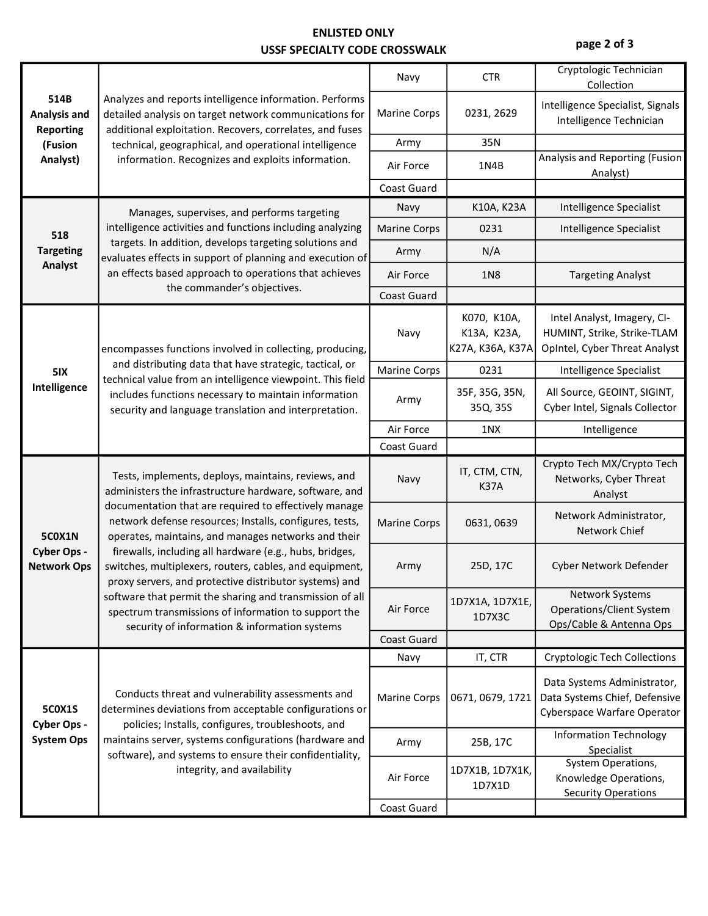### ENLISTED **ONLY** USSF SPECIALTY CODE CROSSWALK

**page 2 of 3**

| 514B<br><b>Analysis and</b><br><b>Reporting</b><br>(Fusion<br>Analyst) | Analyzes and reports intelligence information. Performs<br>detailed analysis on target network communications for<br>additional exploitation. Recovers, correlates, and fuses<br>technical, geographical, and operational intelligence<br>information. Recognizes and exploits information.                                                                                                                    | Navy                | <b>CTR</b>                                     | Cryptologic Technician<br>Collection                                                        |
|------------------------------------------------------------------------|----------------------------------------------------------------------------------------------------------------------------------------------------------------------------------------------------------------------------------------------------------------------------------------------------------------------------------------------------------------------------------------------------------------|---------------------|------------------------------------------------|---------------------------------------------------------------------------------------------|
|                                                                        |                                                                                                                                                                                                                                                                                                                                                                                                                | <b>Marine Corps</b> | 0231, 2629                                     | Intelligence Specialist, Signals<br>Intelligence Technician                                 |
|                                                                        |                                                                                                                                                                                                                                                                                                                                                                                                                | Army                | 35N                                            |                                                                                             |
|                                                                        |                                                                                                                                                                                                                                                                                                                                                                                                                | Air Force           | 1N4B                                           | Analysis and Reporting (Fusion<br>Analyst)                                                  |
|                                                                        |                                                                                                                                                                                                                                                                                                                                                                                                                | Coast Guard         |                                                |                                                                                             |
| 518<br><b>Targeting</b>                                                | Manages, supervises, and performs targeting<br>intelligence activities and functions including analyzing<br>targets. In addition, develops targeting solutions and<br>evaluates effects in support of planning and execution of<br>an effects based approach to operations that achieves                                                                                                                       | Navy                | K10A, K23A                                     | Intelligence Specialist                                                                     |
|                                                                        |                                                                                                                                                                                                                                                                                                                                                                                                                | <b>Marine Corps</b> | 0231                                           | <b>Intelligence Specialist</b>                                                              |
|                                                                        |                                                                                                                                                                                                                                                                                                                                                                                                                | Army                | N/A                                            |                                                                                             |
| Analyst                                                                |                                                                                                                                                                                                                                                                                                                                                                                                                | Air Force           | 1N <sub>8</sub>                                | <b>Targeting Analyst</b>                                                                    |
|                                                                        | the commander's objectives.                                                                                                                                                                                                                                                                                                                                                                                    | Coast Guard         |                                                |                                                                                             |
| 5IX<br>Intelligence                                                    | encompasses functions involved in collecting, producing,<br>and distributing data that have strategic, tactical, or<br>technical value from an intelligence viewpoint. This field<br>includes functions necessary to maintain information<br>security and language translation and interpretation.                                                                                                             | Navy                | K070, K10A,<br>K13A, K23A,<br>K27A, K36A, K37A | Intel Analyst, Imagery, CI-<br>HUMINT, Strike, Strike-TLAM<br>OpIntel, Cyber Threat Analyst |
|                                                                        |                                                                                                                                                                                                                                                                                                                                                                                                                | <b>Marine Corps</b> | 0231                                           | Intelligence Specialist                                                                     |
|                                                                        |                                                                                                                                                                                                                                                                                                                                                                                                                | Army                | 35F, 35G, 35N,<br>35Q, 35S                     | All Source, GEOINT, SIGINT,<br>Cyber Intel, Signals Collector                               |
|                                                                        |                                                                                                                                                                                                                                                                                                                                                                                                                | Air Force           | 1NX                                            | Intelligence                                                                                |
|                                                                        |                                                                                                                                                                                                                                                                                                                                                                                                                | Coast Guard         |                                                |                                                                                             |
| <b>5C0X1N</b><br>Cyber Ops -<br><b>Network Ops</b>                     | Tests, implements, deploys, maintains, reviews, and<br>administers the infrastructure hardware, software, and<br>documentation that are required to effectively manage<br>network defense resources; Installs, configures, tests,<br>operates, maintains, and manages networks and their<br>firewalls, including all hardware (e.g., hubs, bridges,<br>switches, multiplexers, routers, cables, and equipment, | Navy                | IT, CTM, CTN,<br><b>K37A</b>                   | Crypto Tech MX/Crypto Tech<br>Networks, Cyber Threat<br>Analyst                             |
|                                                                        |                                                                                                                                                                                                                                                                                                                                                                                                                | <b>Marine Corps</b> | 0631, 0639                                     | Network Administrator,<br>Network Chief                                                     |
|                                                                        |                                                                                                                                                                                                                                                                                                                                                                                                                |                     |                                                |                                                                                             |
|                                                                        | proxy servers, and protective distributor systems) and                                                                                                                                                                                                                                                                                                                                                         | Army                | 25D, 17C                                       | Cyber Network Defender                                                                      |
|                                                                        | software that permit the sharing and transmission of all<br>spectrum transmissions of information to support the                                                                                                                                                                                                                                                                                               | Air Force           | 1D7X1A, 1D7X1E,<br>1D7X3C                      | Network Systems<br><b>Operations/Client System</b><br>Ops/Cable & Antenna Ops               |
|                                                                        | security of information & information systems                                                                                                                                                                                                                                                                                                                                                                  | Coast Guard         |                                                |                                                                                             |
|                                                                        |                                                                                                                                                                                                                                                                                                                                                                                                                | Navy                | IT, CTR                                        | <b>Cryptologic Tech Collections</b>                                                         |
| <b>5C0X1S</b>                                                          | Conducts threat and vulnerability assessments and<br>determines deviations from acceptable configurations or                                                                                                                                                                                                                                                                                                   | <b>Marine Corps</b> | 0671, 0679, 1721                               | Data Systems Administrator,<br>Data Systems Chief, Defensive<br>Cyberspace Warfare Operator |
| Cyber Ops -<br><b>System Ops</b>                                       | policies; Installs, configures, troubleshoots, and<br>maintains server, systems configurations (hardware and                                                                                                                                                                                                                                                                                                   | Army                | 25B, 17C                                       | <b>Information Technology</b><br>Specialist                                                 |
|                                                                        | software), and systems to ensure their confidentiality,<br>integrity, and availability                                                                                                                                                                                                                                                                                                                         | Air Force           | 1D7X1B, 1D7X1K,<br>1D7X1D                      | System Operations,<br>Knowledge Operations,<br><b>Security Operations</b>                   |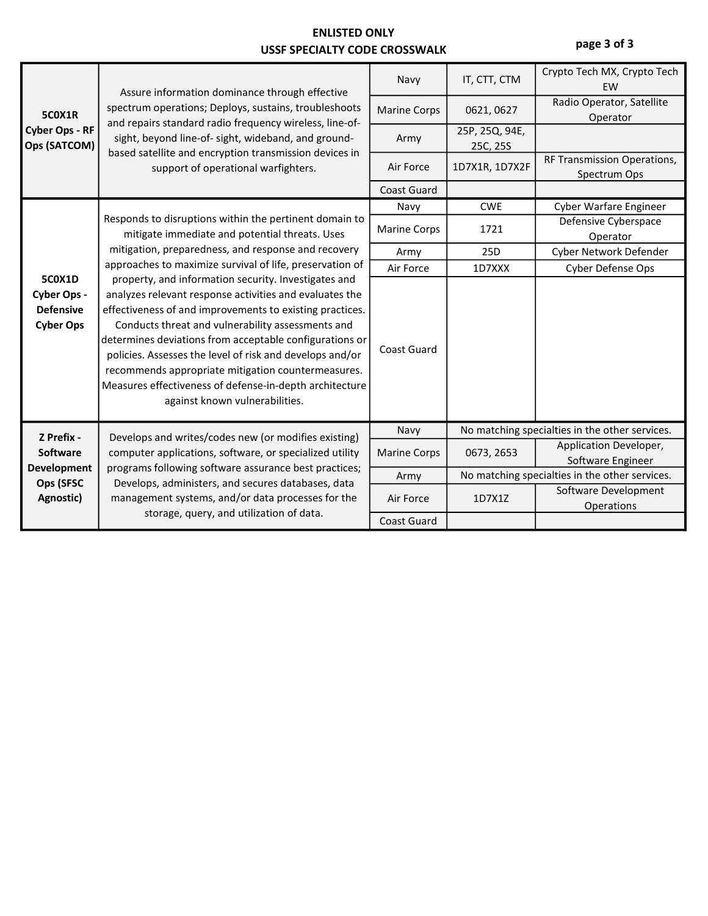### ENLISTED **ONLY** USSF SPECIALTY CODE CROSSWALK

**page 3 of 3**

| <b>5C0X1R</b><br><b>Cyber Ops - RF</b><br>Ops (SATCOM)               | Assure information dominance through effective<br>spectrum operations; Deploys, sustains, troubleshoots<br>and repairs standard radio frequency wireless, line-of-<br>sight, beyond line-of- sight, wideband, and ground-<br>based satellite and encryption transmission devices in<br>support of operational warfighters.                                                                                                                                                                                                                                                                                                                                                                                                                | Navy                | IT, CTT, CTM                                   | Crypto Tech MX, Crypto Tech<br>EW           |
|----------------------------------------------------------------------|-------------------------------------------------------------------------------------------------------------------------------------------------------------------------------------------------------------------------------------------------------------------------------------------------------------------------------------------------------------------------------------------------------------------------------------------------------------------------------------------------------------------------------------------------------------------------------------------------------------------------------------------------------------------------------------------------------------------------------------------|---------------------|------------------------------------------------|---------------------------------------------|
|                                                                      |                                                                                                                                                                                                                                                                                                                                                                                                                                                                                                                                                                                                                                                                                                                                           | <b>Marine Corps</b> | 0621, 0627                                     | Radio Operator, Satellite<br>Operator       |
|                                                                      |                                                                                                                                                                                                                                                                                                                                                                                                                                                                                                                                                                                                                                                                                                                                           | Army                | 25P, 25Q, 94E,<br>25C, 25S                     |                                             |
|                                                                      |                                                                                                                                                                                                                                                                                                                                                                                                                                                                                                                                                                                                                                                                                                                                           | Air Force           | 1D7X1R, 1D7X2F                                 | RF Transmission Operations,<br>Spectrum Ops |
|                                                                      |                                                                                                                                                                                                                                                                                                                                                                                                                                                                                                                                                                                                                                                                                                                                           | <b>Coast Guard</b>  |                                                |                                             |
|                                                                      |                                                                                                                                                                                                                                                                                                                                                                                                                                                                                                                                                                                                                                                                                                                                           | Navy                | <b>CWE</b>                                     | <b>Cyber Warfare Engineer</b>               |
|                                                                      | Responds to disruptions within the pertinent domain to<br>mitigate immediate and potential threats. Uses<br>mitigation, preparedness, and response and recovery<br>approaches to maximize survival of life, preservation of<br>property, and information security. Investigates and<br>analyzes relevant response activities and evaluates the<br>effectiveness of and improvements to existing practices.<br>Conducts threat and vulnerability assessments and<br>determines deviations from acceptable configurations or<br>policies. Assesses the level of risk and develops and/or<br>recommends appropriate mitigation countermeasures.<br>Measures effectiveness of defense-in-depth architecture<br>against known vulnerabilities. | <b>Marine Corps</b> | 1721                                           | Defensive Cyberspace<br>Operator            |
|                                                                      |                                                                                                                                                                                                                                                                                                                                                                                                                                                                                                                                                                                                                                                                                                                                           | Army                | 25D                                            | Cyber Network Defender                      |
|                                                                      |                                                                                                                                                                                                                                                                                                                                                                                                                                                                                                                                                                                                                                                                                                                                           | Air Force           | 1D7XXX                                         | Cyber Defense Ops                           |
| <b>5C0X1D</b><br>Cyber Ops -<br><b>Defensive</b><br><b>Cyber Ops</b> |                                                                                                                                                                                                                                                                                                                                                                                                                                                                                                                                                                                                                                                                                                                                           | <b>Coast Guard</b>  |                                                |                                             |
| Z Prefix -                                                           | Develops and writes/codes new (or modifies existing)                                                                                                                                                                                                                                                                                                                                                                                                                                                                                                                                                                                                                                                                                      | Navy                | No matching specialties in the other services. |                                             |
| <b>Software</b><br><b>Development</b>                                | computer applications, software, or specialized utility<br>programs following software assurance best practices;                                                                                                                                                                                                                                                                                                                                                                                                                                                                                                                                                                                                                          | <b>Marine Corps</b> | 0673, 2653                                     | Application Developer,<br>Software Engineer |
| Ops (SFSC                                                            | Develops, administers, and secures databases, data                                                                                                                                                                                                                                                                                                                                                                                                                                                                                                                                                                                                                                                                                        | Army                | No matching specialties in the other services. |                                             |
| Agnostic)                                                            | management systems, and/or data processes for the                                                                                                                                                                                                                                                                                                                                                                                                                                                                                                                                                                                                                                                                                         | Air Force           | 1D7X1Z                                         | Software Development<br>Operations          |
|                                                                      | storage, query, and utilization of data.                                                                                                                                                                                                                                                                                                                                                                                                                                                                                                                                                                                                                                                                                                  | <b>Coast Guard</b>  |                                                |                                             |